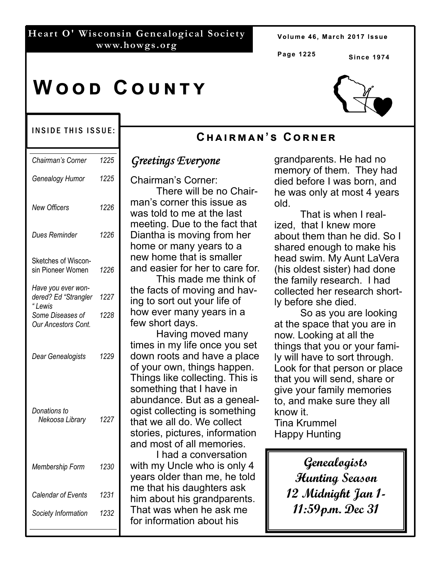# **Heart O' Wisconsin Genealogical Society www.howgs.org**

Volume 46, March 2017 Issue

**Page 1225** 

**Cඐඉඑකඕඉඖ'ඛ Cකඖඍක**

**Since 1974** 

# **WOOD COUNTY**

#### INSIDE THIS ISSUE:

| Chairman's Corner                                    | 1225 |
|------------------------------------------------------|------|
| Genealogy Humor                                      | 1225 |
| <b>New Officers</b>                                  | 1226 |
| Dues Reminder                                        | 1226 |
| Sketches of Wiscon-<br>sin Pioneer Women             | 1226 |
| Have you ever won-<br>dered? Ed "Strangler<br>"Lewis | 1227 |
| Some Diseases of<br><b>Our Ancestors Cont.</b>       | 1228 |
| Dear Genealogists                                    | 1229 |
| Donations to<br>Nekoosa Library                      | 1227 |
| Membership Form                                      | 1230 |
| Calendar of Events                                   | 1231 |
| Society Information                                  | 1232 |

# *Greetings Everyone*

Chairman's Corner: There will be no Chairman's corner this issue as was told to me at the last meeting. Due to the fact that Diantha is moving from her home or many years to a new home that is smaller and easier for her to care for.

 This made me think of the facts of moving and having to sort out your life of how ever many years in a few short days.

 Having moved many times in my life once you set down roots and have a place of your own, things happen. Things like collecting. This is something that I have in abundance. But as a genealogist collecting is something that we all do. We collect stories, pictures, information and most of all memories.

 I had a conversation with my Uncle who is only 4 years older than me, he told me that his daughters ask him about his grandparents. That was when he ask me for information about his

grandparents. He had no memory of them. They had died before I was born, and he was only at most 4 years old.

 That is when I realized, that I knew more about them than he did. So I shared enough to make his head swim. My Aunt LaVera (his oldest sister) had done the family research. I had collected her research shortly before she died.

 So as you are looking at the space that you are in now. Looking at all the things that you or your family will have to sort through. Look for that person or place that you will send, share or give your family memories to, and make sure they all know it.

Tina Krummel Happy Hunting

> **Genealogists Hunting Season 12 Midnight Jan 1- 11:59p.m. Dec 31**

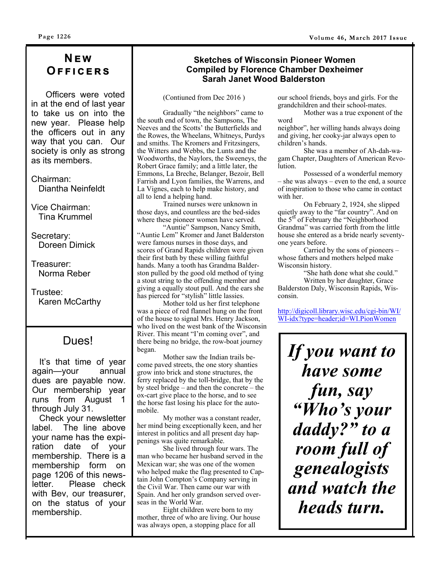# **Nඍ ඟ Oඎඎඑඋඍකඛ**

 Officers were voted in at the end of last year to take us on into the new year. Please help the officers out in any way that you can. Our society is only as strong as its members.

Chairman: Diantha Neinfeldt

Vice Chairman: Tina Krummel

Secretary: Doreen Dimick

Treasurer: Norma Reber

Trustee: Karen McCarthy

 It's that time of year again—your annual dues are payable now. Our membership year runs from August 1 through July 31.

 Check your newsletter label. The line above your name has the expiration date of your membership. There is a membership form on page 1206 of this newsletter. Please check with Bev, our treasurer, on the status of your membership.

#### **Sketches of Wisconsin Pioneer Women Compiled by Florence Chamber Dexheimer Sarah Janet Wood Balderston**

(Contiuned from Dec 2016 )

Gradually "the neighbors" came to the south end of town, the Sampsons, The Neeves and the Scotts' the Butterfields and the Rowes, the Wheelans, Whitneys, Purdys and smiths. The Kromers and Fritzsingers, the Witters and Webbs, the Lunts and the Woodworths, the Naylors, the Sweeneys, the Robert Grace family; and a little later, the Emmons, La Breche, Belanger, Bezoir, Bell Farrish and Lyon families, the Warrens, and La Vignes, each to help make history, and all to lend a helping hand.

Trained nurses were unknown in those days, and countless are the bed-sides where these pioneer women have served.

"Auntie" Sampson, Nancy Smith, "Auntie Lem" Kromer and Janet Balderston were famous nurses in those days, and scores of Grand Rapids children were given their first bath by these willing faithful hands. Many a tooth has Grandma Balderston pulled by the good old method of tying a stout string to the offending member and giving a equally stout pull. And the ears she has pierced for "stylish" little lassies.

Mother told us her first telephone was a piece of red flannel hung on the front of the house to signal Mrs. Henry Jackson, who lived on the west bank of the Wisconsin River. This meant "I'm coming over", and there being no bridge, the row-boat journey began. Dues!  $\left| \begin{array}{cc} \text{first. This field is not always positive, and} \\ \text{there being no bridge, the row-boat journey} \\ \text{Softyou want to} \\ \text{Mother saw the Indian trails be-} \end{array} \right|$  **If you want to** 

Mother saw the Indian trails become paved streets, the one story shanties grow into brick and stone structures, the ferry replaced by the toll-bridge, that by the by steel bridge – and then the concrete – the ox-cart give place to the horse, and to see the horse fast losing his place for the automobile.

My mother was a constant reader, her mind being exceptionally keen, and her interest in politics and all present day happenings was quite remarkable.

She lived through four wars. The man who became her husband served in the Mexican war; she was one of the women who helped make the flag presented to Captain John Compton's Company serving in the Civil War. Then came our war with Spain. And her only grandson served overseas in the World War.

Eight children were born to my mother, three of who are living. Our house was always open, a stopping place for all

our school friends, boys and girls. For the grandchildren and their school-mates.

Mother was a true exponent of the word

neighbor", her willing hands always doing and giving, her cooky-jar always open to children's hands.

She was a member of Ah-dah-wagam Chapter, Daughters of American Revolution.

Possessed of a wonderful memory – she was always – even to the end, a source of inspiration to those who came in contact with her.

On February 2, 1924, she slipped quietly away to the "far country". And on the 5<sup>th</sup> of February the "Neighborhood" Grandma" was carried forth from the little house she entered as a bride nearly seventyone years before.

Carried by the sons of pioneers – whose fathers and mothers helped make Wisconsin history.

"She hath done what she could." Written by her daughter, Grace Balderston Daly, Wisconsin Rapids, Wisconsin.

http://digicoll.library.wisc.edu/cgi-bin/WI/ WI-idx?type=header;id=WI.PionWomen

*have some fun, say "Who's your daddy?" to a room full of genealogists and watch the heads turn.*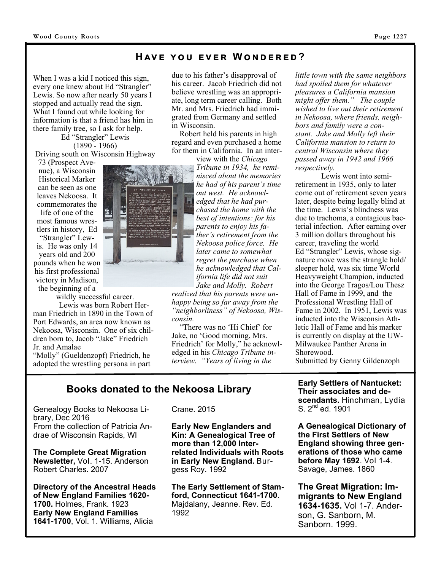### **HAVE YOU EVER WONDERED?**

When I was a kid I noticed this sign, every one knew about Ed "Strangler" Lewis. So now after nearly 50 years I stopped and actually read the sign. What I found out while looking for information is that a friend has him in there family tree, so I ask for help.

Ed "Strangler" Lewis (1890 - 1966) Driving south on Wisconsin Highway

73 (Prospect Avenue), a Wisconsin Historical Marker can be seen as one leaves Nekoosa. It commemorates the life of one of the most famous wrestlers in history, Ed "Strangler" Lewis. He was only 14 years old and 200 pounds when he won his first professional victory in Madison, the beginning of a

wildly successful career.

Lewis was born Robert Herman Friedrich in 1890 in the Town of Port Edwards, an area now known as Nekoosa, Wisconsin. One of six children born to, Jacob "Jake" Friedrich Jr. and Amalae

"Molly" (Gueldenzopf) Friedrich, he adopted the wrestling persona in part

due to his father's disapproval of his career. Jacob Friedrich did not believe wrestling was an appropriate, long term career calling. Both Mr. and Mrs. Friedrich had immigrated from Germany and settled in Wisconsin.

 Robert held his parents in high regard and even purchased a home for them in California. In an inter-

view with the *Chicago Tribune in 1934, he reminisced about the memories he had of his parent's time out west. He acknowledged that he had purchased the home with the best of intentions: for his parents to enjoy his father's retirement from the Nekoosa police force. He later came to somewhat regret the purchase when he acknowledged that California life did not suit Jake and Molly. Robert* 

*realized that his parents were unhappy being so far away from the "neighborliness" of Nekoosa, Wisconsin.*

 "There was no 'Hi Chief' for Jake, no 'Good morning, Mrs. Friedrich' for Molly," he acknowledged in his *Chicago Tribune interview. "Years of living in the* 

*little town with the same neighbors had spoiled them for whatever pleasures a California mansion might offer them." The couple wished to live out their retirement in Nekoosa, where friends, neighbors and family were a constant. Jake and Molly left their California mansion to return to central Wisconsin where they passed away in 1942 and 1966 respectively.*

Lewis went into semiretirement in 1935, only to later come out of retirement seven years later, despite being legally blind at the time. Lewis's blindness was due to trachoma, a contagious bacterial infection. After earning over 3 million dollars throughout his career, traveling the world Ed "Strangler" Lewis, whose signature move was the strangle hold/ sleeper hold, was six time World Heavyweight Champion, inducted into the George Tragos/Lou Thesz Hall of Fame in 1999, and the Professional Wrestling Hall of Fame in 2002. In 1951, Lewis was inducted into the Wisconsin Athletic Hall of Fame and his marker is currently on display at the UW-Milwaukee Panther Arena in Shorewood. Submitted by Genny Gildenzoph

**Early Settlers of Nantucket: Their associates and descendants.** Hinchman, Lydia S.  $2^{nd}$  ed. 1901

**A Genealogical Dictionary of the First Settlers of New England showing three generations of those who came before May 1692**. Vol 1-4. Savage, James. 1860

**The Great Migration: Immigrants to New England 1634-1635.** Vol 1-7. Anderson, G. Sanborn, M. Sanborn. 1999.

# **Books donated to the Nekoosa Library**

Genealogy Books to Nekoosa Library, Dec 2016 From the collection of Patricia Andrae of Wisconsin Rapids, WI

**The Complete Great Migration Newsletter,** Vol. 1-15. Anderson Robert Charles. 2007

**Directory of the Ancestral Heads of New England Families 1620- 1700.** Holmes, Frank. 1923 **Early New England Families 1641-1700**, Vol. 1. Williams, Alicia

Crane. 2015

**Early New Englanders and Kin: A Genealogical Tree of more than 12,000 Interrelated Individuals with Roots in Early New England.** Burgess Roy. 1992

**The Early Settlement of Stamford, Connecticut 1641-1700**. Majdalany, Jeanne. Rev. Ed. 1992



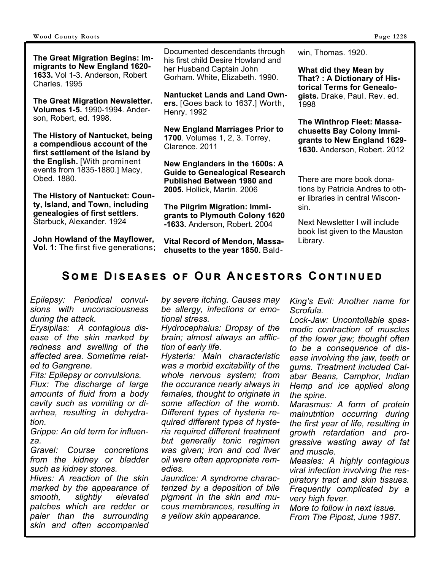**The Great Migration Begins: Immigrants to New England 1620- 1633.** Vol 1-3. Anderson, Robert Charles. 1995

**The Great Migration Newsletter. Volumes 1-5.** 1990-1994. Anderson, Robert, ed. 1998.

**The History of Nantucket, being a compendious account of the first settlement of the Island by the English.** [With prominent events from 1835-1880.] Macy, Obed. 1880.

**The History of Nantucket: County, Island, and Town, including genealogies of first settlers**. Starbuck, Alexander. 1924

**John Howland of the Mayflower, Vol. 1:** The first five generations;

Documented descendants through his first child Desire Howland and her Husband Captain John Gorham. White, Elizabeth. 1990.

**Nantucket Lands and Land Owners.** [Goes back to 1637.] Worth, Henry. 1992

**New England Marriages Prior to 1700**. Volumes 1, 2, 3. Torrey, Clarence. 2011

**New Englanders in the 1600s: A Guide to Genealogical Research Published Between 1980 and 2005.** Hollick, Martin. 2006

**The Pilgrim Migration: Immigrants to Plymouth Colony 1620 -1633.** Anderson, Robert. 2004

**Vital Record of Mendon, Massachusetts to the year 1850.** Baldwin, Thomas. 1920.

**What did they Mean by That? : A Dictionary of Historical Terms for Genealogists.** Drake, Paul. Rev. ed. 1998

**The Winthrop Fleet: Massachusetts Bay Colony Immigrants to New England 1629- 1630.** Anderson, Robert. 2012

There are more book donations by Patricia Andres to other libraries in central Wisconsin.

Next Newsletter I will include book list given to the Mauston Library.

# **SOME DISEASES OF OUR ANCESTORS CONTINUED**

*Epilepsy: Periodical convulsions with unconsciousness during the attack.* 

*Erysipilas: A contagious disease of the skin marked by redness and swelling of the affected area. Sometime related to Gangrene.* 

*Fits: Epilepsy or convulsions. Flux: The discharge of large amounts of fluid from a body cavity such as vomiting or diarrhea, resulting in dehydration.* 

*Grippe: An old term for influenza.* 

*Gravel: Course concretions from the kidney or bladder such as kidney stones.* 

*Hives: A reaction of the skin marked by the appearance of smooth, slightly elevated patches which are redder or paler than the surrounding skin and often accompanied*  *by severe itching. Causes may be allergy, infections or emotional stress.* 

*Hydrocephalus: Dropsy of the brain; almost always an affliction of early life.* 

*Hysteria: Main characteristic was a morbid excitability of the whole nervous system; from the occurance nearly always in females, thought to originate in some affection of the womb. Different types of hysteria required different types of hysteria required different treatment but generally tonic regimen was given; iron and cod liver oil were often appropriate remedies.* 

*Jaundice: A syndrome characterized by a deposition of bile pigment in the skin and mucous membrances, resulting in a yellow skin appearance.* 

*King's Evil: Another name for Scrofula.* 

*Lock-Jaw: Uncontollable spasmodic contraction of muscles of the lower jaw; thought often to be a consequence of disease involving the jaw, teeth or gums. Treatment included Calabar Beans, Camphor, Indian Hemp and ice applied along the spine.* 

*Marasmus: A form of protein malnutrition occurring during the first year of life, resulting in growth retardation and progressive wasting away of fat and muscle.* 

*Measles: A highly contagious viral infection involving the respiratory tract and skin tissues. Frequently complicated by a very high fever.* 

*More to follow in next issue. From The Pipost, June 1987.*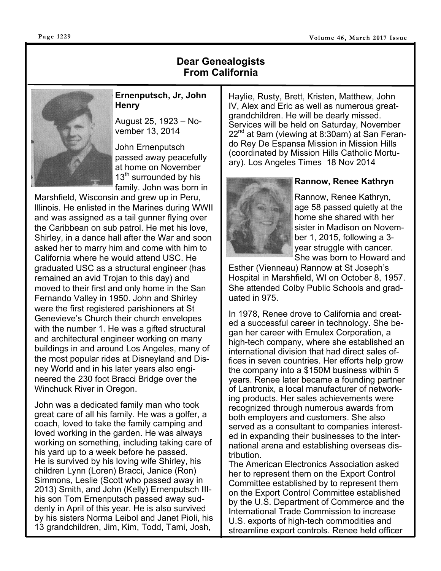# **Dear Genealogists From California**



## **Ernenputsch, Jr, John Henry**

August 25, 1923 – November 13, 2014

John Ernenputsch passed away peacefully at home on November 13<sup>th</sup> surrounded by his family. John was born in

Marshfield, Wisconsin and grew up in Peru, Illinois. He enlisted in the Marines during WWII and was assigned as a tail gunner flying over the Caribbean on sub patrol. He met his love, Shirley, in a dance hall after the War and soon asked her to marry him and come with him to California where he would attend USC. He graduated USC as a structural engineer (has remained an avid Trojan to this day) and moved to their first and only home in the San Fernando Valley in 1950. John and Shirley were the first registered parishioners at St Genevieve's Church their church envelopes with the number 1. He was a gifted structural and architectural engineer working on many buildings in and around Los Angeles, many of the most popular rides at Disneyland and Disney World and in his later years also engineered the 230 foot Bracci Bridge over the Winchuck River in Oregon.

John was a dedicated family man who took great care of all his family. He was a golfer, a coach, loved to take the family camping and loved working in the garden. He was always working on something, including taking care of his yard up to a week before he passed. He is survived by his loving wife Shirley, his children Lynn (Loren) Bracci, Janice (Ron) Simmons, Leslie (Scott who passed away in 2013) Smith, and John (Kelly) Ernenputsch IIIhis son Tom Ernenputsch passed away suddenly in April of this year. He is also survived by his sisters Norma Leibol and Janet Pioli, his 13 grandchildren, Jim, Kim, Todd, Tami, Josh,

Haylie, Rusty, Brett, Kristen, Matthew, John IV, Alex and Eric as well as numerous greatgrandchildren. He will be dearly missed. Services will be held on Saturday, November  $22^{nd}$  at 9am (viewing at 8:30am) at San Ferando Rey De Espansa Mission in Mission Hills (coordinated by Mission Hills Catholic Mortuary). Los Angeles Times 18 Nov 2014



### **Rannow, Renee Kathryn**

Rannow, Renee Kathryn, age 58 passed quietly at the home she shared with her sister in Madison on November 1, 2015, following a 3 year struggle with cancer. She was born to Howard and

Esther (Vienneau) Rannow at St Joseph's Hospital in Marshfield, WI on October 8, 1957. She attended Colby Public Schools and graduated in 975.

In 1978, Renee drove to California and created a successful career in technology. She began her career with Emulex Corporation, a high-tech company, where she established an international division that had direct sales offices in seven countries. Her efforts help grow the company into a \$150M business within 5 years. Renee later became a founding partner of Lantronix, a local manufacturer of networking products. Her sales achievements were recognized through numerous awards from both employers and customers. She also served as a consultant to companies interested in expanding their businesses to the international arena and establishing overseas distribution.

The American Electronics Association asked her to represent them on the Export Control Committee established by to represent them on the Export Control Committee established by the U.S. Department of Commerce and the International Trade Commission to increase U.S. exports of high-tech commodities and streamline export controls. Renee held officer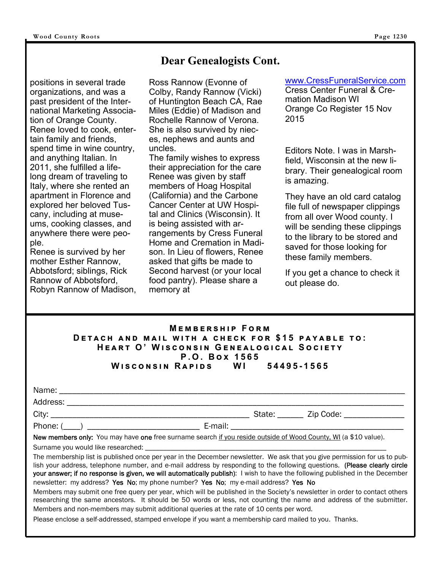# **Dear Genealogists Cont.**

positions in several trade organizations, and was a past president of the International Marketing Association of Orange County. Renee loved to cook, entertain family and friends, spend time in wine country, and anything Italian. In 2011, she fulfilled a lifelong dream of traveling to Italy, where she rented an apartment in Florence and explored her beloved Tuscany, including at museums, cooking classes, and anywhere there were people.

Renee is survived by her mother Esther Rannow, Abbotsford; siblings, Rick Rannow of Abbotsford, Robyn Rannow of Madison, Ross Rannow (Evonne of Colby, Randy Rannow (Vicki) of Huntington Beach CA, Rae Miles (Eddie) of Madison and Rochelle Rannow of Verona. She is also survived by nieces, nephews and aunts and uncles.

The family wishes to express their appreciation for the care Renee was given by staff members of Hoag Hospital (California) and the Carbone Cancer Center at UW Hospital and Clinics (Wisconsin). It is being assisted with arrangements by Cress Funeral Home and Cremation in Madison. In Lieu of flowers, Renee asked that gifts be made to Second harvest (or your local food pantry). Please share a memory at

www.CressFuneralService.com

Cress Center Funeral & Cremation Madison WI Orange Co Register 15 Nov 2015

Editors Note. I was in Marshfield, Wisconsin at the new library. Their genealogical room is amazing.

They have an old card catalog file full of newspaper clippings from all over Wood county. I will be sending these clippings to the library to be stored and saved for those looking for these family members.

If you get a chance to check it out please do.

#### **MEMBERSHIP FORM DETACH AND MAIL WITH A CHECK FOR \$15 PAYABLE TO:**  $HEART$  O' WISCONSIN GENEALOGICAL SOCIETY  $P. O. Box 1565$ **W එඛඋඖඛඑඖ R ඉඑඌඛ WI 54495-1565**

| Name:    |                          |
|----------|--------------------------|
| Address: |                          |
| City:    | State: _______ Zip Code: |
| Phone: ( | E-mail:                  |

New members only: You may have one free surname search if you reside outside of Wood County, WI (a \$10 value).

Surname you would like researched:

The membership list is published once per year in the December newsletter. We ask that you give permission for us to publish your address, telephone number, and e-mail address by responding to the following questions. (Please clearly circle your answer; if no response is given, we will automatically publish): I wish to have the following published in the December newsletter: my address? Yes No; my phone number? Yes No; my e-mail address? Yes No

Members may submit one free query per year, which will be published in the Society's newsletter in order to contact others researching the same ancestors. It should be 50 words or less, not counting the name and address of the submitter. Members and non-members may submit additional queries at the rate of 10 cents per word.

Please enclose a self-addressed, stamped envelope if you want a membership card mailed to you. Thanks.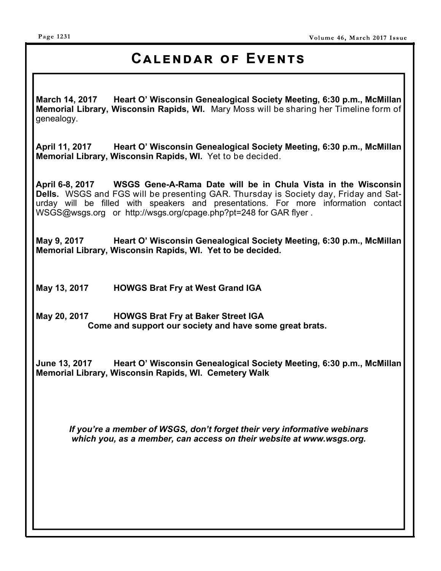# **CALENDAR OF EVENTS**

**March 14, 2017 Heart O' Wisconsin Genealogical Society Meeting, 6:30 p.m., McMillan Memorial Library, Wisconsin Rapids, WI.** Mary Moss will be sharing her Timeline form of genealogy.

**April 11, 2017 Heart O' Wisconsin Genealogical Society Meeting, 6:30 p.m., McMillan Memorial Library, Wisconsin Rapids, WI.** Yet to be decided.

**April 6-8, 2017 WSGS Gene-A-Rama Date will be in Chula Vista in the Wisconsin Dells.** WSGS and FGS will be presenting GAR. Thursday is Society day, Friday and Saturday will be filled with speakers and presentations. For more information contact WSGS@wsgs.org or http://wsgs.org/cpage.php?pt=248 for GAR flyer .

**May 9, 2017 Heart O' Wisconsin Genealogical Society Meeting, 6:30 p.m., McMillan Memorial Library, Wisconsin Rapids, WI. Yet to be decided.** 

**May 13, 2017 HOWGS Brat Fry at West Grand IGA** 

**May 20, 2017 HOWGS Brat Fry at Baker Street IGA Come and support our society and have some great brats.** 

**June 13, 2017 Heart O' Wisconsin Genealogical Society Meeting, 6:30 p.m., McMillan Memorial Library, Wisconsin Rapids, WI. Cemetery Walk** 

*If you're a member of WSGS, don't forget their very informative webinars which you, as a member, can access on their website at www.wsgs.org.*